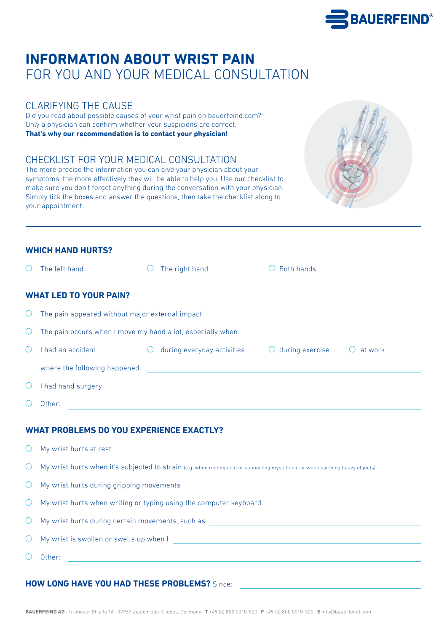# **INFORMATION ABOUT WRIST PAIN** FOR YOU AND YOUR MEDICAL CONSULTATION

# CLARIFYING THE CAUSE

Did you read about possible causes of your wrist pain on bauerfeind.com? Only a physician can confirm whether your suspicions are correct. **That's why our recommendation is to contact your physician!**

# CHECKLIST FOR YOUR MEDICAL CONSULTATION

The more precise the information you can give your physician about your symptoms, the more effectively they will be able to help you. Use our checklist to make sure you don't forget anything during the conversation with your physician. Simply tick the boxes and answer the questions, then take the checklist along to your appointment.



### **WHICH HAND HURTS?**

| ∩                                               | The left hand                                                                                                                                                                                                                        | The right hand<br>$\bigcirc$                                                                                         |  | $\bigcirc$ Both hands |  |  |  |  |
|-------------------------------------------------|--------------------------------------------------------------------------------------------------------------------------------------------------------------------------------------------------------------------------------------|----------------------------------------------------------------------------------------------------------------------|--|-----------------------|--|--|--|--|
|                                                 | <b>WHAT LED TO YOUR PAIN?</b>                                                                                                                                                                                                        |                                                                                                                      |  |                       |  |  |  |  |
| Ő                                               | The pain appeared without major external impact                                                                                                                                                                                      |                                                                                                                      |  |                       |  |  |  |  |
| $\bigcirc$                                      | The pain occurs when I move my hand a lot, especially when <b>the same of the same of the same of the same of the same of the same of the same of the same of the same of the same of the same of the same of the same of the sa</b> |                                                                                                                      |  |                       |  |  |  |  |
| $\bigcirc$                                      | I had an accident                                                                                                                                                                                                                    | during everyday activities $\bigcirc$ during exercise<br>$\bigcirc$                                                  |  | $\bigcirc$ at work    |  |  |  |  |
|                                                 | where the following happened:<br><u> 1989 - Johann Harry Harry Harry Harry Harry Harry Harry Harry Harry Harry Harry Harry Harry Harry Harry Harry</u>                                                                               |                                                                                                                      |  |                       |  |  |  |  |
| O                                               | I had hand surgery                                                                                                                                                                                                                   |                                                                                                                      |  |                       |  |  |  |  |
| $\bigcirc$                                      | Other:                                                                                                                                                                                                                               | <u> 1989 - Johann Stein, marwolaethau a bhann an t-Amhainn an t-Amhainn an t-Amhainn an t-Amhainn an t-Amhainn a</u> |  |                       |  |  |  |  |
| <b>WHAT PROBLEMS DO YOU EXPERIENCE EXACTLY?</b> |                                                                                                                                                                                                                                      |                                                                                                                      |  |                       |  |  |  |  |
| O                                               | My wrist hurts at rest                                                                                                                                                                                                               |                                                                                                                      |  |                       |  |  |  |  |
| $\bigcirc$                                      | My wrist hurts when it's subjected to strain (e.g. when resting on it or supporting myself on it or when carrying heavy objects)                                                                                                     |                                                                                                                      |  |                       |  |  |  |  |
| $\bigcirc$                                      | My wrist hurts during gripping movements                                                                                                                                                                                             |                                                                                                                      |  |                       |  |  |  |  |
| $\bigcirc$                                      | My wrist hurts when writing or typing using the computer keyboard                                                                                                                                                                    |                                                                                                                      |  |                       |  |  |  |  |
| $\bigcirc$                                      | My wrist hurts during certain movements, such as <b>well as a series of the control of the control of the control of the control of the control of the control of the control of the control of the control of the control of th</b> |                                                                                                                      |  |                       |  |  |  |  |
| $\bigcirc$                                      | My wrist is swollen or swells up when I                                                                                                                                                                                              |                                                                                                                      |  |                       |  |  |  |  |
| $\left(\begin{array}{c} 1 \end{array}\right)$   | Other:                                                                                                                                                                                                                               |                                                                                                                      |  |                       |  |  |  |  |

### **HOW LONG HAVE YOU HAD THESE PROBLEMS?** Since: